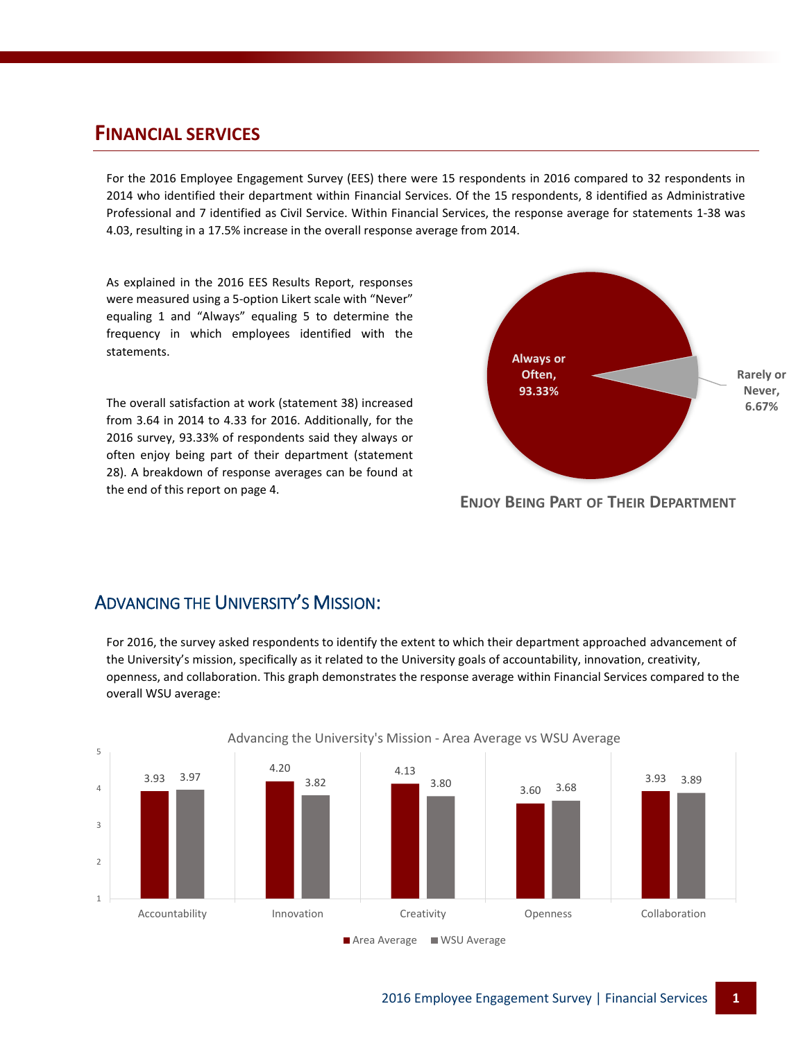#### **FINANCIAL SERVICES**

For the 2016 Employee Engagement Survey (EES) there were 15 respondents in 2016 compared to 32 respondents in 2014 who identified their department within Financial Services. Of the 15 respondents, 8 identified as Administrative Professional and 7 identified as Civil Service. Within Financial Services, the response average for statements 1-38 was 4.03, resulting in a 17.5% increase in the overall response average from 2014.

As explained in the 2016 EES Results Report, responses were measured using a 5-option Likert scale with "Never" equaling 1 and "Always" equaling 5 to determine the frequency in which employees identified with the statements.

The overall satisfaction at work (statement 38) increased from 3.64 in 2014 to 4.33 for 2016. Additionally, for the 2016 survey, 93.33% of respondents said they always or often enjoy being part of their department (statement 28). A breakdown of response averages can be found at the end of this report on page 4.



**ENJOY BEING PART OF THEIR DEPARTMENT**

#### ADVANCING THE UNIVERSITY'S MISSION:

For 2016, the survey asked respondents to identify the extent to which their department approached advancement of the University's mission, specifically as it related to the University goals of accountability, innovation, creativity, openness, and collaboration. This graph demonstrates the response average within Financial Services compared to the overall WSU average:

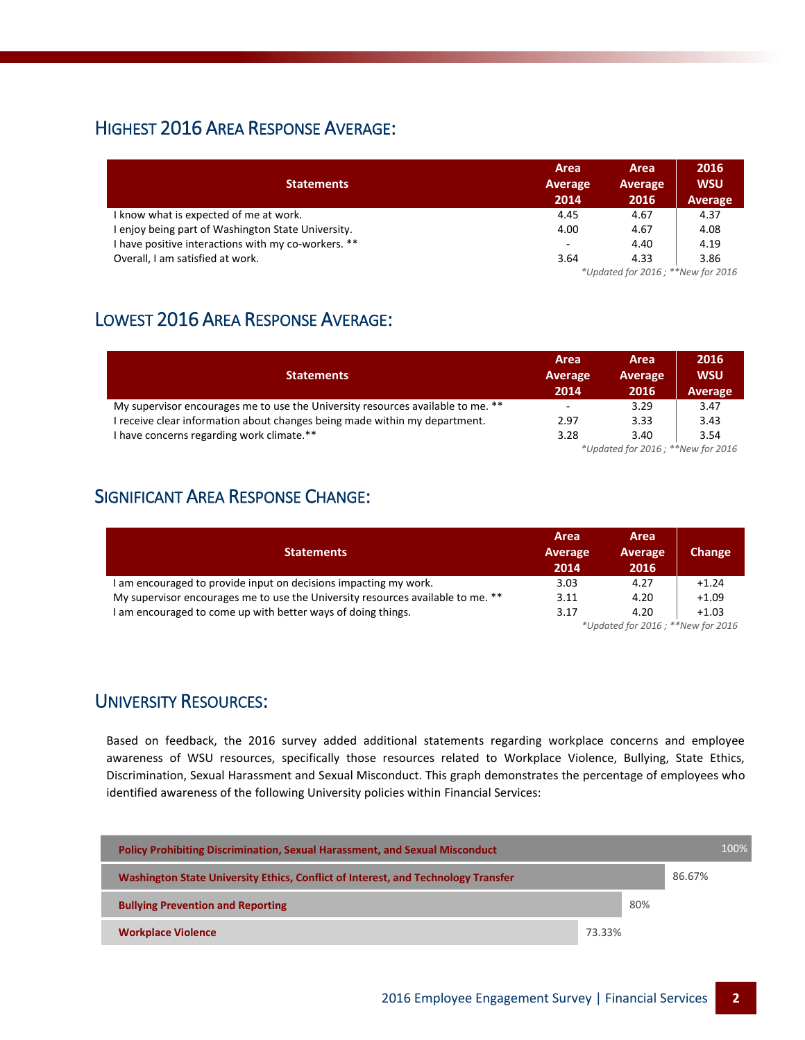### HIGHEST 2016 AREA RESPONSE AVERAGE:

|                                                     | Area    | Area                              | 2016           |  |  |
|-----------------------------------------------------|---------|-----------------------------------|----------------|--|--|
| <b>Statements</b>                                   | Average | Average                           | <b>WSU</b>     |  |  |
|                                                     | 2014    | 2016                              | <b>Average</b> |  |  |
| I know what is expected of me at work.              | 4.45    | 4.67                              | 4.37           |  |  |
| I enjoy being part of Washington State University.  | 4.00    | 4.67                              | 4.08           |  |  |
| I have positive interactions with my co-workers. ** | ۰       | 4.40                              | 4.19           |  |  |
| Overall, I am satisfied at work.                    | 3.64    | 4.33                              | 3.86           |  |  |
|                                                     |         | *Updated for 2016; **New for 2016 |                |  |  |

# LOWEST 2016 AREA RESPONSE AVERAGE:

|                                                                                 | Area                     | Area    | 2016       |
|---------------------------------------------------------------------------------|--------------------------|---------|------------|
| <b>Statements</b>                                                               | Average                  | Average | <b>WSU</b> |
|                                                                                 | 2014                     | 2016    | Average    |
| My supervisor encourages me to use the University resources available to me. ** | $\overline{\phantom{a}}$ | 3.29    | 3.47       |
| receive clear information about changes being made within my department.        | 2.97                     | 3.33    | 3.43       |
| I have concerns regarding work climate.**                                       | 3.28                     | 3.40    | 3.54       |
| *Updated for 2016; **New for 2016                                               |                          |         |            |

# SIGNIFICANT AREA RESPONSE CHANGE:

| <b>Statements</b>                                                               | Area<br>Average<br>2014           | Area<br>Average<br>2016 | Change  |
|---------------------------------------------------------------------------------|-----------------------------------|-------------------------|---------|
| I am encouraged to provide input on decisions impacting my work.                | 3.03                              | 4.27                    | $+1.24$ |
| My supervisor encourages me to use the University resources available to me. ** | 3.11                              | 4.20                    | $+1.09$ |
| I am encouraged to come up with better ways of doing things.                    | 3.17                              | 4.20                    | $+1.03$ |
|                                                                                 | *Updated for 2016; **New for 2016 |                         |         |

#### UNIVERSITY RESOURCES:

Based on feedback, the 2016 survey added additional statements regarding workplace concerns and employee awareness of WSU resources, specifically those resources related to Workplace Violence, Bullying, State Ethics, Discrimination, Sexual Harassment and Sexual Misconduct. This graph demonstrates the percentage of employees who identified awareness of the following University policies within Financial Services:

| <b>Policy Prohibiting Discrimination, Sexual Harassment, and Sexual Misconduct</b> |        |     |        | 100% |
|------------------------------------------------------------------------------------|--------|-----|--------|------|
| Washington State University Ethics, Conflict of Interest, and Technology Transfer  |        |     | 86.67% |      |
| <b>Bullying Prevention and Reporting</b>                                           |        | 80% |        |      |
| <b>Workplace Violence</b>                                                          | 73.33% |     |        |      |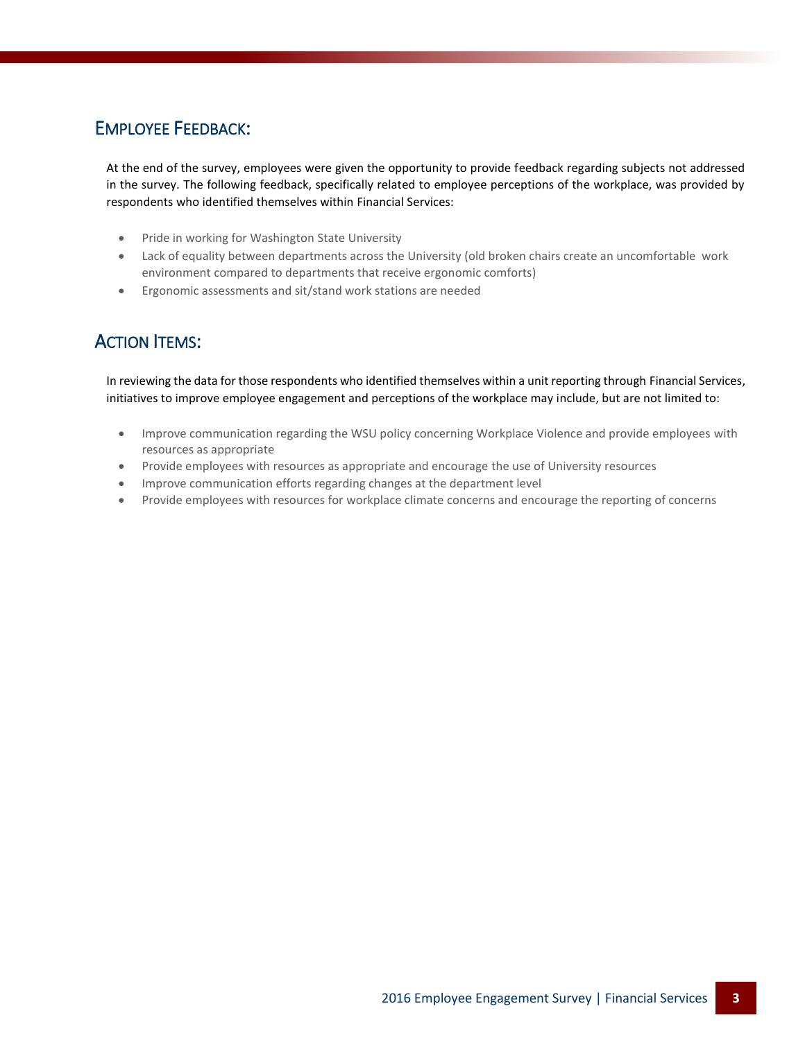### EMPLOYEE FEEDBACK:

At the end of the survey, employees were given the opportunity to provide feedback regarding subjects not addressed in the survey. The following feedback, specifically related to employee perceptions of the workplace, was provided by respondents who identified themselves within Financial Services:

- Pride in working for Washington State University
- Lack of equality between departments across the University (old broken chairs create an uncomfortable work environment compared to departments that receive ergonomic comforts)
- Ergonomic assessments and sit/stand work stations are needed

## ACTION ITEMS:

In reviewing the data for those respondents who identified themselves within a unit reporting through Financial Services, initiatives to improve employee engagement and perceptions of the workplace may include, but are not limited to:

- Improve communication regarding the WSU policy concerning Workplace Violence and provide employees with resources as appropriate
- Provide employees with resources as appropriate and encourage the use of University resources
- Improve communication efforts regarding changes at the department level
- Provide employees with resources for workplace climate concerns and encourage the reporting of concerns